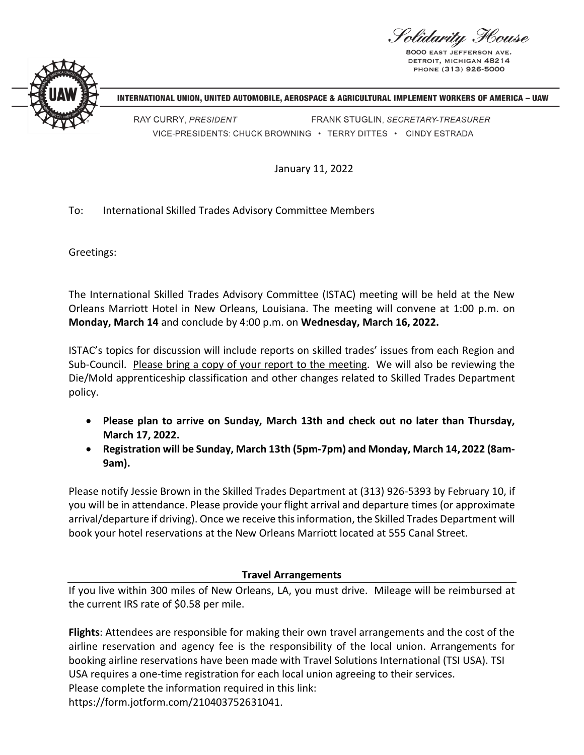<sup>V</sup>olidarity Flouse

**8000 FAST IFFFFRSON** DETROIT, MICHIGAN 48214 PHONE (313) 926-5000



INTERNATIONAL UNION, UNITED AUTOMOBILE, AEROSPACE & AGRICULTURAL IMPLEMENT WORKERS OF AMERICA – UAW

RAY CURRY, PRESIDENT FRANK STUGLIN, SECRETARY-TREASURER VICE-PRESIDENTS: CHUCK BROWNING · TERRY DITTES · CINDY ESTRADA

January 11, 2022

## To: International Skilled Trades Advisory Committee Members

Greetings:

The International Skilled Trades Advisory Committee (ISTAC) meeting will be held at the New Orleans Marriott Hotel in New Orleans, Louisiana. The meeting will convene at 1:00 p.m. on **Monday, March 14** and conclude by 4:00 p.m. on **Wednesday, March 16, 2022.**

ISTAC's topics for discussion will include reports on skilled trades' issues from each Region and Sub-Council. Please bring a copy of your report to the meeting. We will also be reviewing the Die/Mold apprenticeship classification and other changes related to Skilled Trades Department policy.

- **Please plan to arrive on Sunday, March 13th and check out no later than Thursday, March 17, 2022.**
- **Registration will be Sunday, March 13th (5pm-7pm) and Monday, March 14, 2022 (8am-9am).**

Please notify Jessie Brown in the Skilled Trades Department at (313) 926-5393 by February 10, if you will be in attendance. Please provide your flight arrival and departure times (or approximate arrival/departure if driving). Once we receive this information, the Skilled Trades Department will book your hotel reservations at the New Orleans Marriott located at 555 Canal Street.

## **Travel Arrangements**

If you live within 300 miles of New Orleans, LA, you must drive. Mileage will be reimbursed at the current IRS rate of \$0.58 per mile.

**Flights**: Attendees are responsible for making their own travel arrangements and the cost of the airline reservation and agency fee is the responsibility of the local union. Arrangements for booking airline reservations have been made with Travel Solutions International (TSI USA). TSI USA requires a one-time registration for each local union agreeing to their services. Please complete the information required in this link: https://form.jotform.com/210403752631041.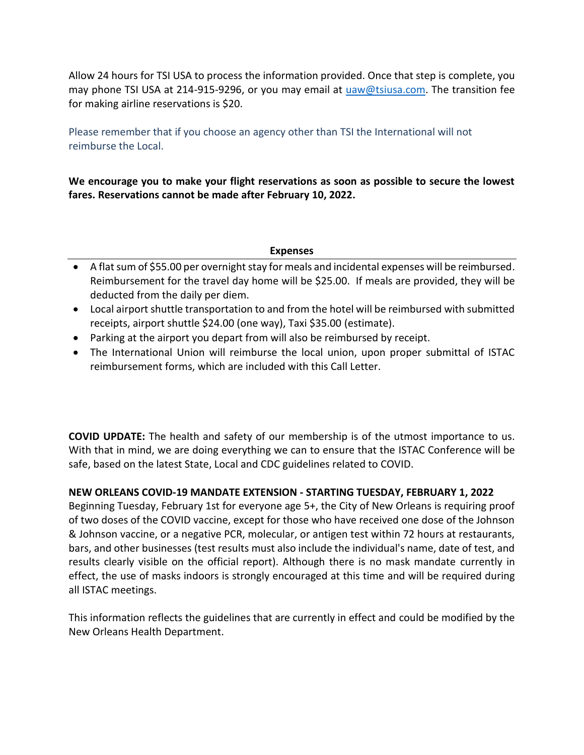Allow 24 hours for TSI USA to process the information provided. Once that step is complete, you may phone TSI USA at 214-915-9296, or you may email at [uaw@tsiusa.com.](mailto:uaw@tsiusa.com) The transition fee for making airline reservations is \$20.

Please remember that if you choose an agency other than TSI the International will not reimburse the Local.

**We encourage you to make your flight reservations as soon as possible to secure the lowest fares. Reservations cannot be made after February 10, 2022.**

## **Expenses**

- A flat sum of \$55.00 per overnight stay for meals and incidental expenses will be reimbursed. Reimbursement for the travel day home will be \$25.00. If meals are provided, they will be deducted from the daily per diem.
- Local airport shuttle transportation to and from the hotel will be reimbursed with submitted receipts, airport shuttle \$24.00 (one way), Taxi \$35.00 (estimate).
- Parking at the airport you depart from will also be reimbursed by receipt.
- The International Union will reimburse the local union, upon proper submittal of ISTAC reimbursement forms, which are included with this Call Letter.

**COVID UPDATE:** The health and safety of our membership is of the utmost importance to us. With that in mind, we are doing everything we can to ensure that the ISTAC Conference will be safe, based on the latest State, Local and CDC guidelines related to COVID.

## **NEW ORLEANS COVID-19 MANDATE EXTENSION - STARTING TUESDAY, FEBRUARY 1, 2022**

Beginning Tuesday, February 1st for everyone age 5+, the City of New Orleans is requiring proof of two doses of the COVID vaccine, except for those who have received one dose of the Johnson & Johnson vaccine, or a negative PCR, molecular, or antigen test within 72 hours at restaurants, bars, and other businesses (test results must also include the individual's name, date of test, and results clearly visible on the official report). Although there is no mask mandate currently in effect, the use of masks indoors is strongly encouraged at this time and will be required during all ISTAC meetings.

This information reflects the guidelines that are currently in effect and could be modified by the New Orleans Health Department.